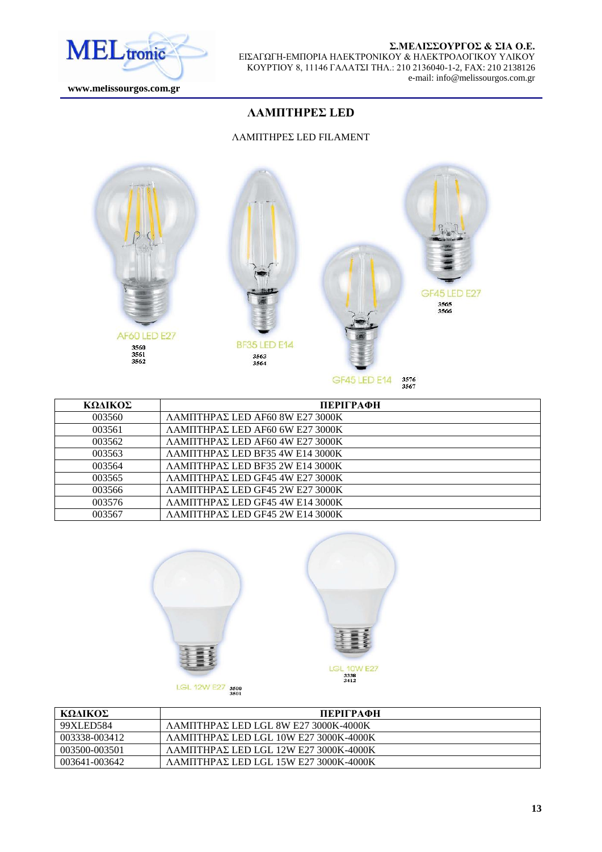

# Σ.ΜΕΛΙΣΣΟΥΡΓΟΣ & ΣΙΑ Ο.Ε.

ΕΙΣΑΓΩΓΗ-ΕΜΠΟΡΙΑ ΗΛΕΚΤΡΟΝΙΚΟΥ & ΗΛΕΚΤΡΟΛΟΓΙΚΟΥ ΥΛΙΚΟΥ ΚΟΤΡΣΙΟΤ 8, 11146 ΓΑΛΑΣΙ ΣΗΛ.: 210 2136040-1-2, FAX: 210 2138126 e-mail: info@melissourgos.com.gr

 **www.melissourgos.com.gr**

# **ΛΑΜΠΤΗΡΕΣ LED**

#### ΛΑΜΠΤΗΡΕΣ LED FILAMENT



| ΚΩΛΙΚΟΣ | ПЕРІГРАФН                                        |
|---------|--------------------------------------------------|
| 003560  | ΛΑΜΠΤΗΡΑΣ LED AF60 8W Ε27 3000K                  |
| 003561  | $\Lambda$ AMITHPAZ LED AF60 6W E27 3000K         |
| 003562  | $\Lambda$ AMITHPAZ LED AF60 4W E27 3000K         |
| 003563  | $\Lambda$ AMITHPA $\Sigma$ LED BF35 4W E14 3000K |
| 003564  | $\Lambda$ AMITHPA $\Sigma$ LED BF35 2W E14 3000K |
| 003565  | $\Lambda$ AMITHPAE LED GF45 4W E27 3000K         |
| 003566  | $\Lambda$ AMITHPAE LED GF45 2W E27 3000K         |
| 003576  | ΛΑΜΠΤΗΡΑΣ LED GF45 4W E14 3000K                  |
| 003567  | ΛΑΜΠΤΗΡΑΣ LED GF45 2W E14 3000K                  |







| ΚΩΛΙΚΟΣ       | ПЕРІГРАФН                                      |
|---------------|------------------------------------------------|
| 99XLED584     | $\Lambda$ AMITHPAE LED LGL 8W E27 3000K-4000K  |
| 003338-003412 | $\Lambda$ ΑΜΠΤΗΡΑΣ LED LGL 10W E27 3000K-4000K |
| 003500-003501 | $\Lambda$ AMΠTHPAΣ LED LGL 12W E27 3000K-4000K |
| 003641-003642 | $\Lambda$ AMΠTHPAΣ LED LGL 15W E27 3000K-4000K |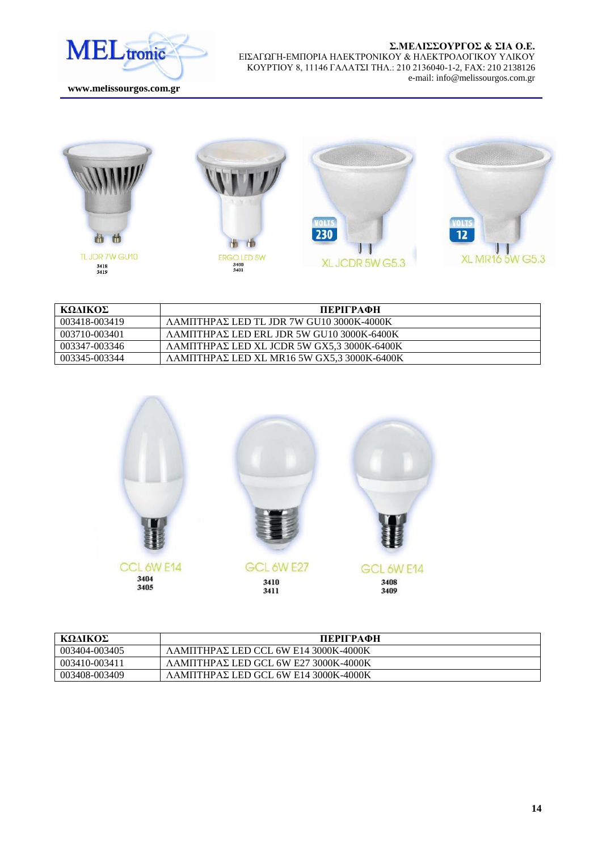

 **www.melissourgos.com.gr**



| ΚΩΛΙΚΟΣ       | ПЕРІГРАФН                                            |
|---------------|------------------------------------------------------|
| 003418-003419 | $\Lambda$ AMITHPAE LED TL JDR 7W GU10 3000K-4000K    |
| 003710-003401 | $\Lambda$ AMITHPAE LED ERL JDR 5W GU10 3000K-6400K   |
| 003347-003346 | ΛΑΜΠΤΗΡΑΣ LED XL JCDR 5W GX5.3 3000K-6400K           |
| 003345-003344 | $\Lambda$ AMIITHPAE LED XL MR16 5W GX5.3 3000K-6400K |



| ΚΩΛΙΚΟΣ       | ПЕРІГРАФН                                             |
|---------------|-------------------------------------------------------|
| 003404-003405 | ΛΑΜΠΤΗΡΑΣ LED CCL 6W E14 3000K-4000K                  |
| 003410-003411 | $\Lambda$ AMITHPA $\Sigma$ LED GCL 6W E27 3000K-4000K |
| 003408-003409 | $\Lambda$ AMITHPAE LED GCL 6W E14 3000K-4000K         |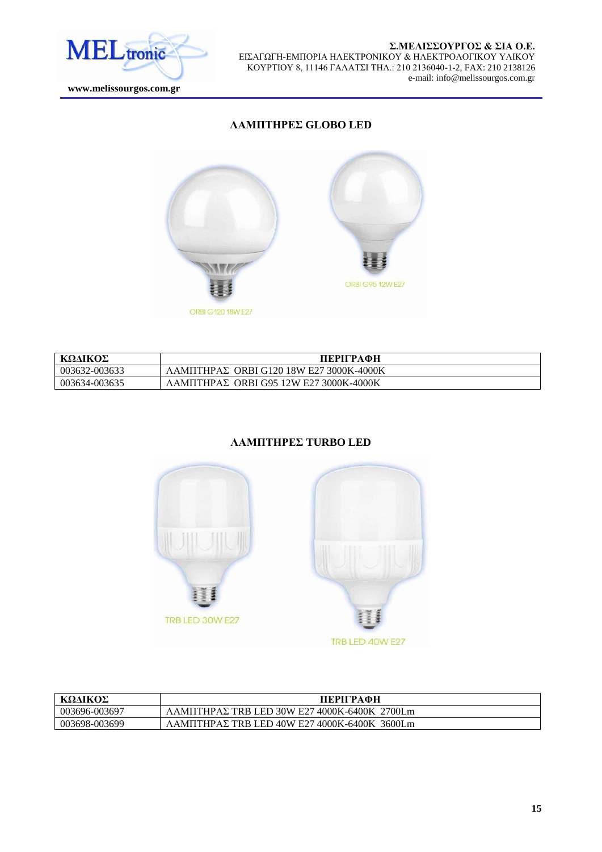

 **www.melissourgos.com.gr**

# **ΛΑΜΠΤΗΡΕΣ GLOBO LED**



| ΚΩΛΙΚΟΣ       | ПЕРІГРАФН                                                |
|---------------|----------------------------------------------------------|
| 003632-003633 | $\Lambda$ AMITHPA $\Sigma$ ORBI G120 18W E27 3000K-4000K |
| 003634-003635 | $\Lambda$ AMITHPAZ ORBI G95 12W E27 3000K-4000K          |

# **ΛΑΜΠΤΗΡΕΣ TURBO LED**



| ΚΩΛΙΚΟΣ       | ПЕРІГРАФН                                                        |
|---------------|------------------------------------------------------------------|
| 003696-003697 | 2700Lm<br>$\Lambda$ AMITHPAE TRB LED 30W E27 4000K-6400K         |
| 003698-003699 | 3600Lm<br>$\Lambda$ AMITHPA $\Sigma$ TRB LED 40W E27 4000K-6400K |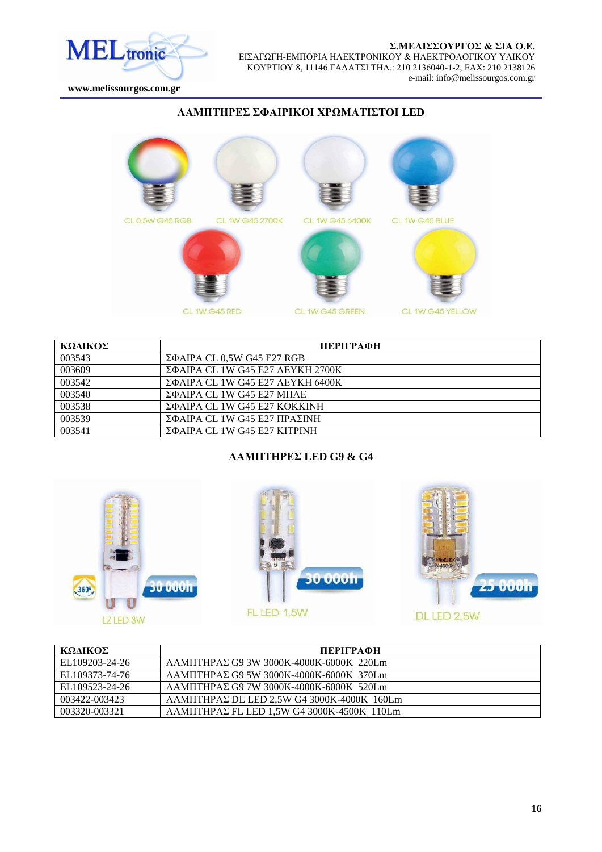

 **www.melissourgos.com.gr**

### **ΛΑΜΠΣΖΡΔ ΦΑΗΡΗΚΟΗ ΥΡΩΜΑΣΗΣΟΗ LED**



| ΚΩΛΙΚΟΣ | ПЕРІГРАФН                             |
|---------|---------------------------------------|
| 003543  | $\Sigma\Phi$ AIPA CL 0,5W G45 E27 RGB |
| 003609  | ΣΦΑΙΡΑ CL 1W G45 Ε27 ΛΕΥΚΗ 2700Κ      |
| 003542  | ΣΦΑΙΡΑ CL 1W G45 E27 ΛΕΥΚΗ 6400Κ      |
| 003540  | $\Sigma$ ΦΑΙΡΑ CL 1W G45 E27 ΜΠΛΕ     |
| 003538  | ΣΦΑΙΡΑ CL 1W G45 E27 ΚΟΚΚΙΝΗ          |
| 003539  | ΣΦΑΙΡΑ CL 1W G45 Ε27 ΠΡΑΣΙΝΗ          |
| 003541  | ΣΦΑΙΡΑ CL 1W G45 E27 ΚΙΤΡΙΝΗ          |

CL 1W G45 GREEN

CL 1W G45 RED

### ΛΑΜΠΤΗΡΕΣ LED G9 & G4







CL 1W G45 YELLOW

| ΚΩΛΙΚΟΣ        | ПЕРІГРАФН                                                 |
|----------------|-----------------------------------------------------------|
| EL109203-24-26 | $\Lambda$ AMIITHPA $\Sigma$ G9 3W 3000K-4000K-6000K 220Lm |
| EL109373-74-76 | $\Lambda$ AMITHPAE G9 5W 3000K-4000K-6000K 370Lm          |
| EL109523-24-26 | $\Lambda$ AMIITHPAE G9 7W 3000K-4000K-6000K 520Lm         |
| 003422-003423  | $\Lambda$ AMITHPAE DL LED 2.5W G4 3000K-4000K 160Lm       |
| 003320-003321  | $\Lambda$ AMITHPAE FL LED 1.5W G4 3000K-4500K 110Lm       |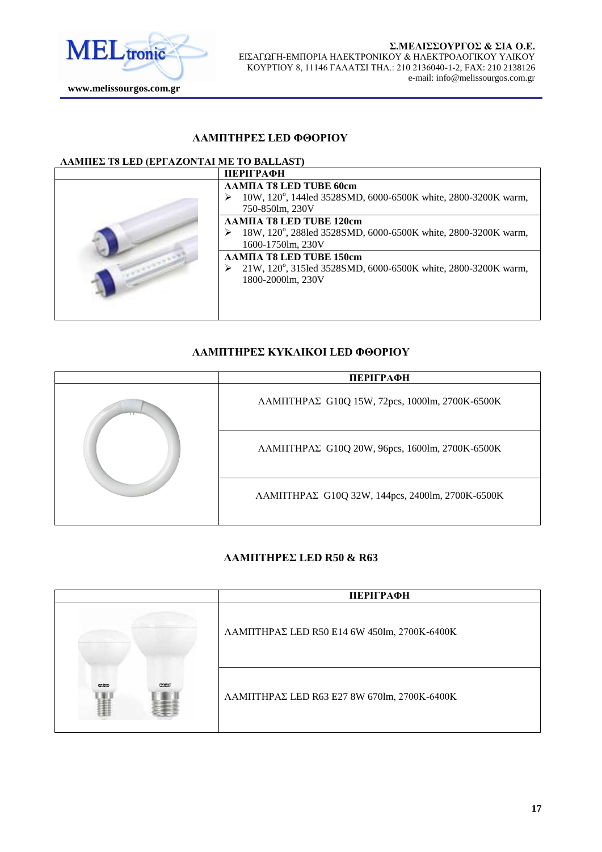

# **ΛΑΜΠΣΖΡΔ LED ΦΘΟΡΗΟΤ**

### **ΛΑΜΠΕΣ Τ8 LED (ΕΡΓΑΖΟΝΤΑΙ ΜΕ ΤΟ BALLAST)**

| <b>ПЕРІГРАФН</b>                                                                                                     |
|----------------------------------------------------------------------------------------------------------------------|
| ЛАМПА Т8 LED TUBE 60cm<br>10W, 120°, 144led 3528SMD, 6000-6500K white, 2800-3200K warm,<br>750-850lm, 230V           |
| <b>ΛΑΜΠΑ Τ8 LED TUBE 120cm</b><br>18W, 120°, 288led 3528SMD, 6000-6500K white, 2800-3200K warm,<br>1600-1750lm, 230V |
| ΛΑΜΠΑ T8 LED TUBE 150cm<br>21W, 120°, 315led 3528SMD, 6000-6500K white, 2800-3200K warm,<br>1800-2000lm, 230V        |
|                                                                                                                      |

# **ΛΑΜΠΣΖΡΔ ΚΤΚΛΗΚΟΗ LED ΦΘΟΡΗΟΤ**

|    | ПЕРІГРАФН                                                       |
|----|-----------------------------------------------------------------|
| ⊤⊤ | $\Lambda$ AMITHPA $\Sigma$ G10Q 15W, 72pcs, 1000lm, 2700K-6500K |
|    | $\Lambda$ AMΠΤΗΡΑΣ G10Q 20W, 96pcs, 1600lm, 2700K-6500K         |
|    | ΛΑΜΠΤΗΡΑΣ G10Q 32W, 144pcs, 2400lm, 2700K-6500K                 |

#### ΛΑΜΠΤΗΡΕΣ LED R50 & R63

|                                                            | ПЕРІГРАФН                                   |
|------------------------------------------------------------|---------------------------------------------|
|                                                            | ΛΑΜΠΤΗΡΑΣ LED R50 E14 6W 450lm, 2700K-6400K |
| <b>renjey</b><br><i><b><i><u><b>IBPROV</b></u></i></b></i> | ΛΑΜΠΤΗΡΑΣ LED R63 E27 8W 670lm, 2700K-6400K |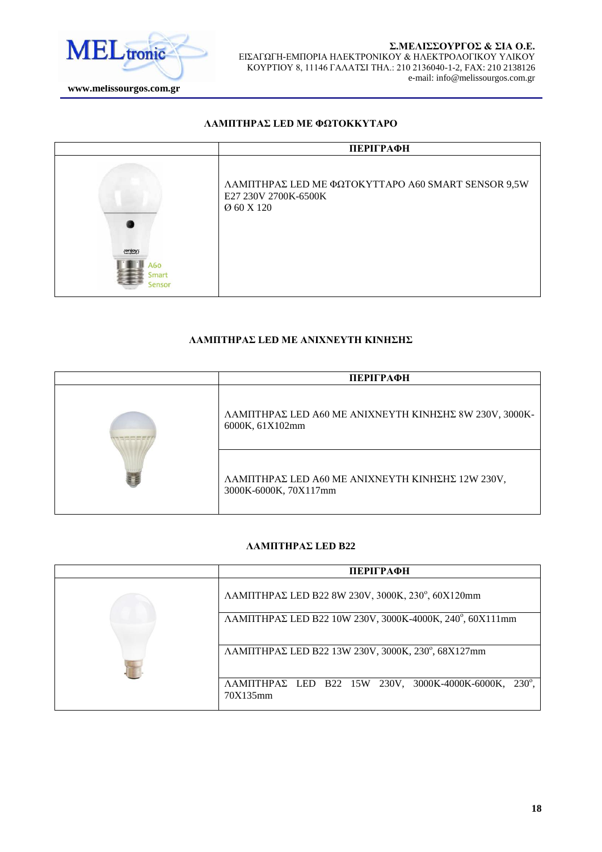

#### ΛΑΜΠΤΗΡΑΣ LED ΜΕ ΦΩΤΟΚΚΥΤΑΡΟ



# ΛΑΜΠΤΗΡΑΣ LED ΜΕ ΑΝΙΧΝΕΥΤΗ ΚΙΝΗΣΗΣ

| ПЕРІГРАФН                                                                 |
|---------------------------------------------------------------------------|
| ΛΑΜΠΤΗΡΑΣ LED Α60 ΜΕ ΑΝΙΧΝΕΥΤΗ ΚΙΝΗΣΗΣ 8W 230V, 3000K-<br>6000K, 61X102mm |
| ΛΑΜΠΤΗΡΑΣ LED Α60 ΜΕ ΑΝΙΧΝΕΥΤΗ ΚΙΝΗΣΗΣ 12W 230V,<br>3000K-6000K, 70X117mm |

#### ΛΑΜΠΤΗΡΑΣ LED **B22**

| ПЕРІГРАФН                                                                                       |
|-------------------------------------------------------------------------------------------------|
| ΛΑΜΠΤΗΡΑΣ LED B22 8W 230V, 3000K, 230°, 60X120mm                                                |
| ΛΑΜΠΤΗΡΑΣ LED B22 10W 230V, 3000K-4000K, 240°, 60X111mm                                         |
| ΛΑΜΠΤΗΡΑΣ LED B22 13W 230V, 3000K, 230°, 68X127mm                                               |
| $\Lambda$ AMIITHPA $\Sigma$ LED B22 15W 230V, 3000K-4000K-6000K,<br>$230^{\circ}$ .<br>70X135mm |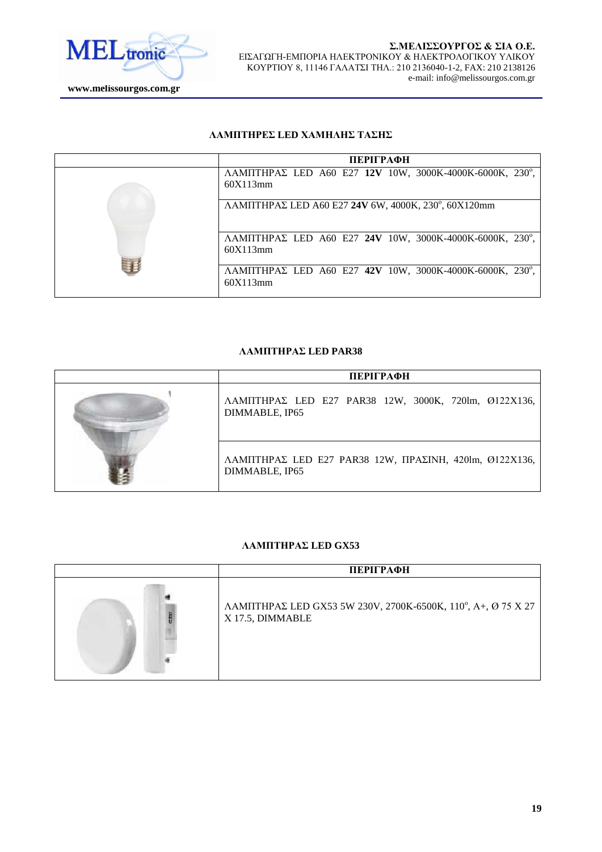

#### ΛΑΜΠΤΗΡΕΣ LED ΧΑΜΗΛΗΣ ΤΑΣΗΣ

| ПЕРІГРАФН                                                                    |
|------------------------------------------------------------------------------|
| ΛΑΜΠΤΗΡΑΣ LED A60 E27 12V 10W, 3000K-4000K-6000K, 230°,<br>60X113mm          |
| $\Lambda$ AMITHPA $\Sigma$ LED A60 E27 24V 6W, 4000K, 230°, 60X120mm         |
| ΛΑΜΠΤΗΡΑΣ LED A60 E27 24V 10W, 3000K-4000K-6000K, 230°,<br>60X113mm          |
| $\Lambda$ AMITHPAE LED A60 E27 42V 10W, 3000K-4000K-6000K, 230°,<br>60X113mm |

### ΛΑΜΠΤΗΡΑΣ LED PAR38

| ПЕРІГРАФН                                                                                |
|------------------------------------------------------------------------------------------|
| $\Lambda$ AMIITHPA $\Sigma$ LED E27 PAR38 12W, 3000K, 720lm, Ø122X136,<br>DIMMABLE, IP65 |
| ΛΑΜΠΤΗΡΑΣ LED E27 PAR38 12W, ΠΡΑΣΙΝΗ, 420lm, Ø122X136,<br>DIMMABLE, IP65                 |

### ΛΑΜΠΤΗΡΑΣ LED GX53

| ПЕРІГРАФН                                                                        |
|----------------------------------------------------------------------------------|
| ΛΑΜΠΤΗΡΑΣ LED GX53 5W 230V, 2700K-6500K, 110°, Α+, Ø 75 X 27<br>X 17.5, DIMMABLE |
|                                                                                  |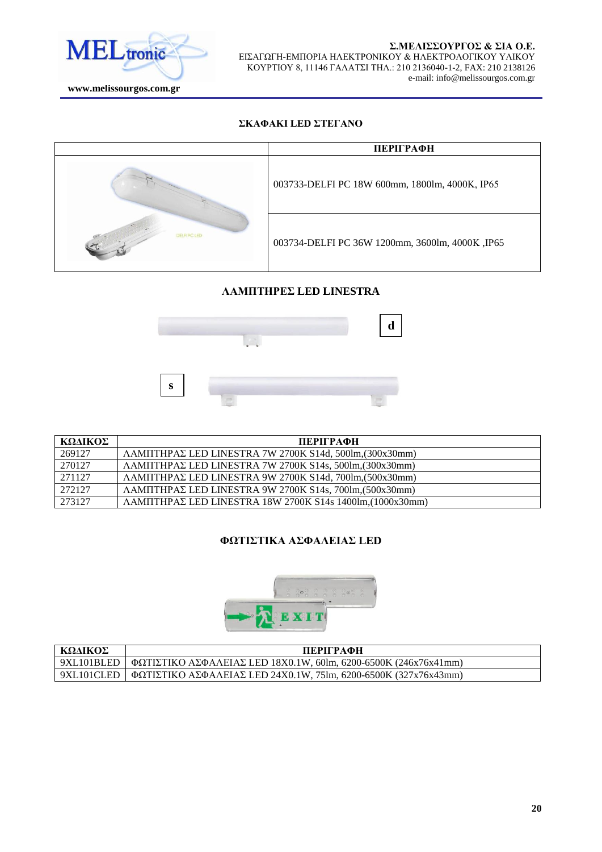

#### ΣΚΑΦΑΚΙ LED ΣΤΕΓΑΝΟ



### **ΛΑΜΠΣΖΡΔ LED LINESTRA**



| ΚΩΔΙΚΟΣ | ПЕРІГРАФН                                                                  |
|---------|----------------------------------------------------------------------------|
| 269127  | ΛΑΜΠΤΗΡΑΣ LED LINESTRA 7W 2700K S14d, 500lm. (300x30mm)                    |
| 270127  | ΛΑΜΠΤΗΡΑΣ LED LINESTRA 7W 2700K S14s, 500lm, (300x30mm)                    |
| 271127  | ΛΑΜΠΤΗΡΑΣ LED LINESTRA 9W 2700K S14d, 700lm, (500x30mm)                    |
| 272127  | ΛΑΜΠΤΗΡΑΣ LED LINESTRA 9W 2700K S14s, 700lm, (500x30mm)                    |
| 273127  | $\Lambda$ AMITHPA $\Sigma$ LED LINESTRA 18W 2700K S14s 1400lm, (1000x30mm) |

### **ΦΩΤΙΣΤΙΚΑ ΑΣΦΑΛΕΙΑΣ LED**



| ΚΩΛΙΚΟΣ    | ПЕРІГРАФН                                                             |
|------------|-----------------------------------------------------------------------|
| 9XL101BLED | $\Phi$ ΩΤΙΣΤΙΚΟ ΑΣΦΑΛΕΙΑΣ LED 18Χ0.1W, 60lm, 6200-6500K (246x76x41mm) |
| 9XL101CLED | $\Phi$ ΩTIΣTIKO AΣΦΑΛΕΙΑΣ LED 24X0.1W, 75lm, 6200-6500K (327x76x43mm) |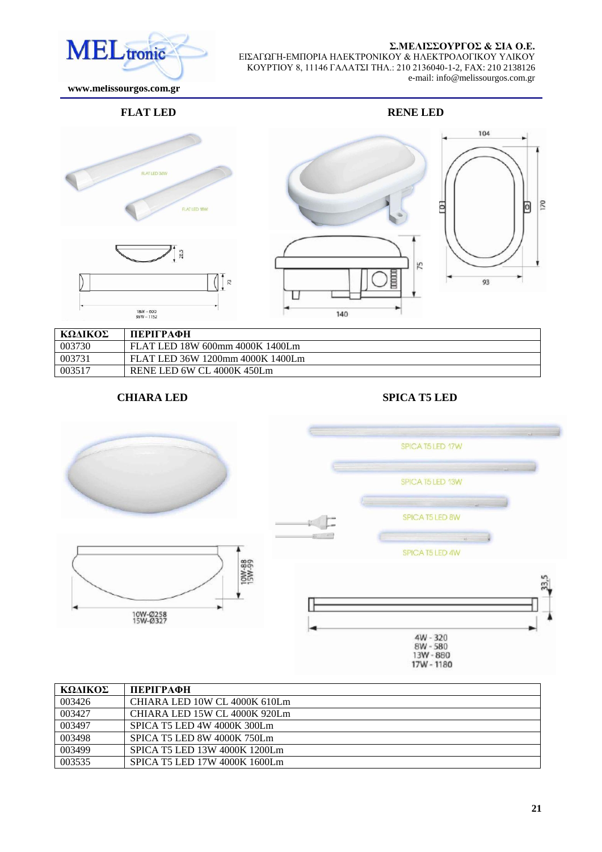#### Σ.ΜΕΛΙΣΣΟΥΡΓΟΣ & ΣΙΑ Ο.Ε.

104

170

o



ΕΙΣΑΓΩΓΗ-ΕΜΠΟΡΙΑ ΗΛΕΚΤΡΟΝΙΚΟΥ & ΗΛΕΚΤΡΟΛΟΓΙΚΟΥ ΥΛΙΚΟΥ ΚΟΤΡΣΙΟΤ 8, 11146 ΓΑΛΑΣΙ ΣΗΛ.: 210 2136040-1-2, FAX: 210 2138126 e-mail: info@melissourgos.com.gr

 **www.melissourgos.com.gr**

### **FLAT LED RENE LED**







| ΚΩΔΙΚΟΣ | ПЕРІГРАФН                        |
|---------|----------------------------------|
| 003730  | FLAT LED 18W 600mm 4000K 1400Lm  |
| 003731  | FLAT LED 36W 1200mm 4000K 1400Lm |
| 003517  | RENE LED 6W CL 4000K 450Lm       |

# **CHIARA LED SPICA T5 LED**



| ΚΩΛΙΚΟΣ | ПЕРІГРАФН                     |
|---------|-------------------------------|
| 003426  | CHIARA LED 10W CL 4000K 610Lm |
| 003427  | CHIARA LED 15W CL 4000K 920Lm |
| 003497  | SPICA T5 LED 4W 4000K 300Lm   |
| 003498  | SPICA T5 LED 8W 4000K 750Lm   |
| 003499  | SPICA T5 LED 13W 4000K 1200Lm |
| 003535  | SPICA T5 LED 17W 4000K 1600Lm |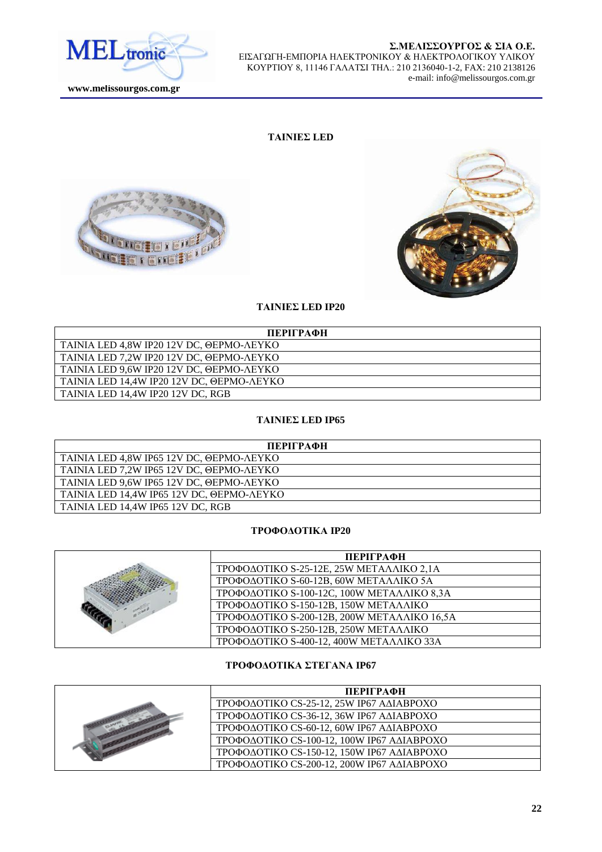

#### Σ.ΜΕΛΙΣΣΟΥΡΓΟΣ & ΣΙΑ Ο.Ε. ΕΙΣΑΓΩΓΗ-ΕΜΠΟΡΙΑ ΗΛΕΚΤΡΟΝΙΚΟΥ & ΗΛΕΚΤΡΟΛΟΓΙΚΟΥ ΥΛΙΚΟΥ ΚΟΤΡΣΙΟΤ 8, 11146 ΓΑΛΑΣΙ ΣΗΛ.: 210 2136040-1-2, FAX: 210 2138126 e-mail: info@melissourgos.com.gr

### **ΤΑΙΝΙΕΣ LED**





#### **ΤΑΙΝΙΕΣ LED IP20**

| ПЕРІГРАФН                                 |
|-------------------------------------------|
| TAINIA LED 4.8W IP20 12V DC, ΘΕΡΜΟ-ΛΕΥΚΟ  |
| TAINIA LED 7.2W IP20 12V DC. ΘΕΡΜΟ-ΛΕΥΚΟ  |
| TAINIA LED 9,6W IP20 12V DC, ΘΕΡΜΟ-ΛΕΥΚΟ  |
| TAINIA LED 14,4W IP20 12V DC, ΘΕΡΜΟ-ΛΕΥΚΟ |
| TAINIA LED 14.4W IP20 12V DC. RGB         |

# **ΤΑΙΝΙΕΣ LED IP65**

| ПЕРІГРАФН                                 |
|-------------------------------------------|
| TAINIA LED 4,8W IP65 12V DC, @EPMO-AEYKO  |
| TAINIA LED 7.2W IP65 12V DC, @EPMO-AEYKO  |
| TAINIA LED 9.6W IP65 12V DC, @EPMO-AEYKO  |
| TAINIA LED 14,4W IP65 12V DC, ΘΕΡΜΟ-ΛΕΥΚΟ |
| TAINIA LED 14.4W IP65 12V DC. RGB         |

# **ΣΡΟΦΟΔΟΤΙΚΑ ΙΡ20**

|  | ПЕРІГРАФН                                   |
|--|---------------------------------------------|
|  | ΤΡΟΦΟΔΟΤΙΚΟ S-25-12E, 25W ΜΕΤΑΛΛΙΚΟ 2,1A    |
|  | ΤΡΟΦΟΔΟΤΙΚΟ S-60-12B, 60W ΜΕΤΑΛΛΙΚΟ 5A      |
|  | ΤΡΟΦΟΔΟΤΙΚΟ S-100-12C, 100W ΜΕΤΑΛΛΙΚΟ 8,3A  |
|  | ΤΡΟΦΟΔΟΤΙΚΟ S-150-12B, 150W ΜΕΤΑΛΛΙΚΟ       |
|  | ΤΡΟΦΟΔΟΤΙΚΟ S-200-12B, 200W ΜΕΤΑΛΛΙΚΟ 16,5Α |
|  | ΤΡΟΦΟΔΟΤΙΚΟ S-250-12B, 250W ΜΕΤΑΛΛΙΚΟ       |
|  | ΤΡΟΦΟΔΟΤΙΚΟ S-400-12, 400W ΜΕΤΑΛΛΙΚΟ 33Α    |

### **ΤΡΟΦΟΔΟΤΙΚΑ ΣΤΕΓΑΝΑ ΙΡ67**

|  | ПЕРІГРАФН                                  |
|--|--------------------------------------------|
|  | ΤΡΟΦΟΔΟΤΙΚΟ CS-25-12, 25W IP67 ΑΔΙΑΒΡΟΧΟ   |
|  | ΤΡΟΦΟΔΟΤΙΚΟ CS-36-12, 36W IP67 ΑΔΙΑΒΡΟΧΟ   |
|  | ΤΡΟΦΟΔΟΤΙΚΟ CS-60-12, 60W IP67 ΑΔΙΑΒΡΟΧΟ   |
|  | ΤΡΟΦΟΔΟΤΙΚΟ CS-100-12, 100W IP67 ΑΔΙΑΒΡΟΧΟ |
|  | ΤΡΟΦΟΔΟΤΙΚΟ CS-150-12, 150W ΙΡ67 ΑΔΙΑΒΡΟΧΟ |
|  | ΤΡΟΦΟΔΟΤΙΚΟ CS-200-12, 200W IP67 ΑΔΙΑΒΡΟΧΟ |